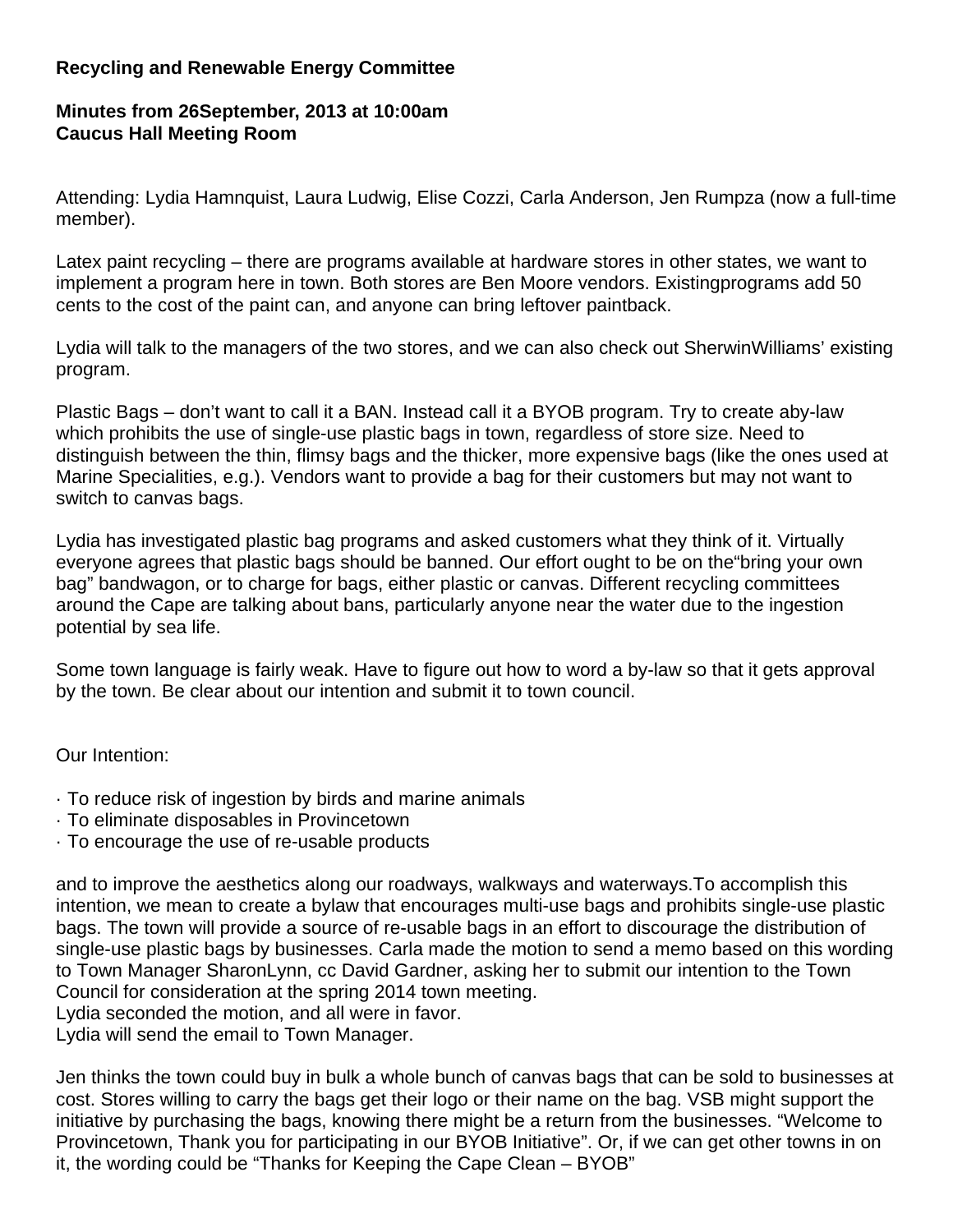## **Recycling and Renewable Energy Committee**

## **Minutes from 26September, 2013 at 10:00am Caucus Hall Meeting Room**

Attending: Lydia Hamnquist, Laura Ludwig, Elise Cozzi, Carla Anderson, Jen Rumpza (now a full-time member).

Latex paint recycling – there are programs available at hardware stores in other states, we want to implement a program here in town. Both stores are Ben Moore vendors. Existingprograms add 50 cents to the cost of the paint can, and anyone can bring leftover paintback.

Lydia will talk to the managers of the two stores, and we can also check out SherwinWilliams' existing program.

Plastic Bags – don't want to call it a BAN. Instead call it a BYOB program. Try to create aby-law which prohibits the use of single-use plastic bags in town, regardless of store size. Need to distinguish between the thin, flimsy bags and the thicker, more expensive bags (like the ones used at Marine Specialities, e.g.). Vendors want to provide a bag for their customers but may not want to switch to canvas bags.

Lydia has investigated plastic bag programs and asked customers what they think of it. Virtually everyone agrees that plastic bags should be banned. Our effort ought to be on the"bring your own bag" bandwagon, or to charge for bags, either plastic or canvas. Different recycling committees around the Cape are talking about bans, particularly anyone near the water due to the ingestion potential by sea life.

Some town language is fairly weak. Have to figure out how to word a by-law so that it gets approval by the town. Be clear about our intention and submit it to town council.

## Our Intention:

- · To reduce risk of ingestion by birds and marine animals
- · To eliminate disposables in Provincetown
- · To encourage the use of re-usable products

and to improve the aesthetics along our roadways, walkways and waterways.To accomplish this intention, we mean to create a bylaw that encourages multi-use bags and prohibits single-use plastic bags. The town will provide a source of re-usable bags in an effort to discourage the distribution of single-use plastic bags by businesses. Carla made the motion to send a memo based on this wording to Town Manager SharonLynn, cc David Gardner, asking her to submit our intention to the Town Council for consideration at the spring 2014 town meeting.

Lydia seconded the motion, and all were in favor.

Lydia will send the email to Town Manager.

Jen thinks the town could buy in bulk a whole bunch of canvas bags that can be sold to businesses at cost. Stores willing to carry the bags get their logo or their name on the bag. VSB might support the initiative by purchasing the bags, knowing there might be a return from the businesses. "Welcome to Provincetown, Thank you for participating in our BYOB Initiative". Or, if we can get other towns in on it, the wording could be "Thanks for Keeping the Cape Clean – BYOB"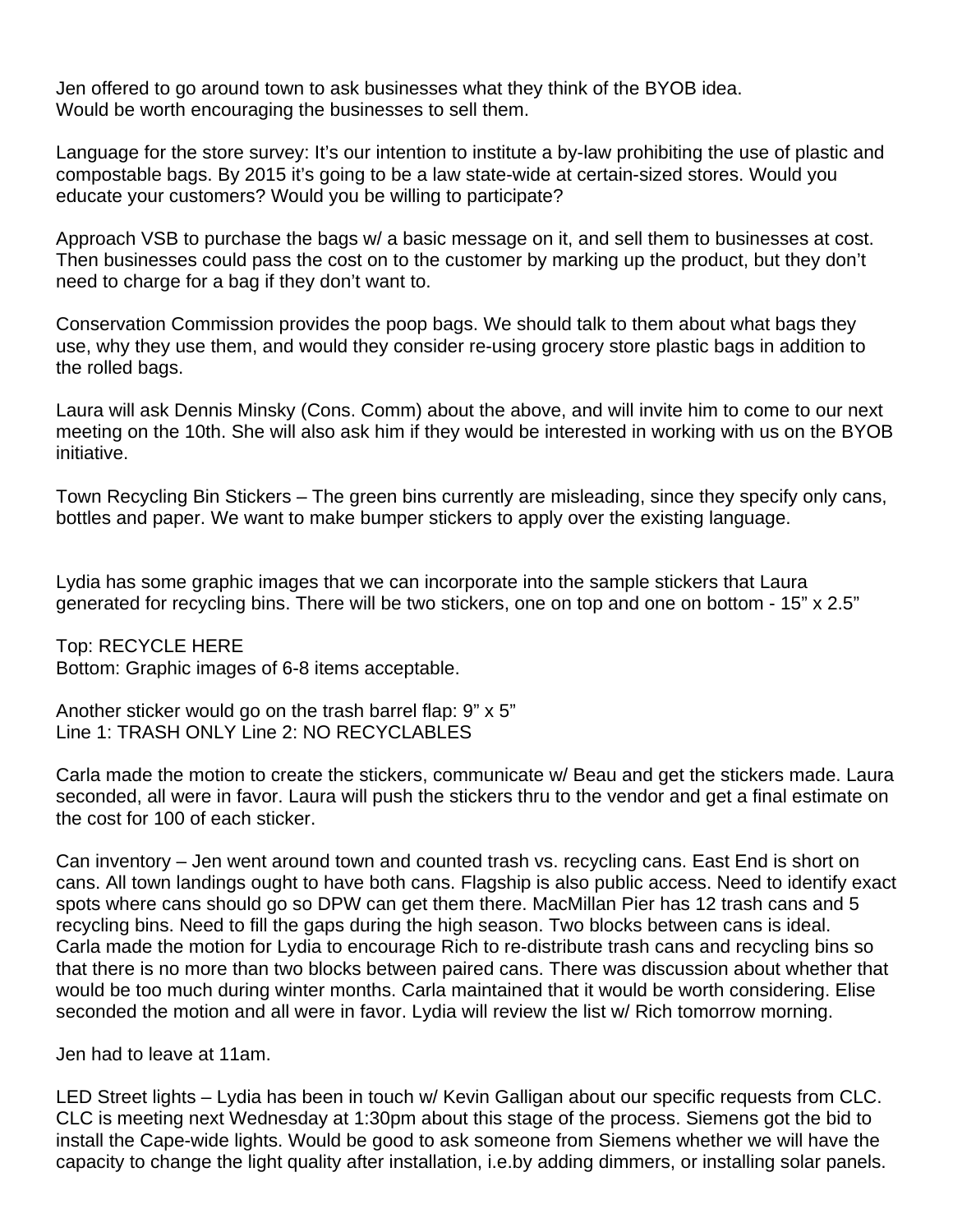Jen offered to go around town to ask businesses what they think of the BYOB idea. Would be worth encouraging the businesses to sell them.

Language for the store survey: It's our intention to institute a by-law prohibiting the use of plastic and compostable bags. By 2015 it's going to be a law state-wide at certain-sized stores. Would you educate your customers? Would you be willing to participate?

Approach VSB to purchase the bags w/ a basic message on it, and sell them to businesses at cost. Then businesses could pass the cost on to the customer by marking up the product, but they don't need to charge for a bag if they don't want to.

Conservation Commission provides the poop bags. We should talk to them about what bags they use, why they use them, and would they consider re-using grocery store plastic bags in addition to the rolled bags.

Laura will ask Dennis Minsky (Cons. Comm) about the above, and will invite him to come to our next meeting on the 10th. She will also ask him if they would be interested in working with us on the BYOB initiative.

Town Recycling Bin Stickers – The green bins currently are misleading, since they specify only cans, bottles and paper. We want to make bumper stickers to apply over the existing language.

Lydia has some graphic images that we can incorporate into the sample stickers that Laura generated for recycling bins. There will be two stickers, one on top and one on bottom - 15" x 2.5"

Top: RECYCLE HERE Bottom: Graphic images of 6-8 items acceptable.

Another sticker would go on the trash barrel flap: 9" x 5" Line 1: TRASH ONLY Line 2: NO RECYCLABLES

Carla made the motion to create the stickers, communicate w/ Beau and get the stickers made. Laura seconded, all were in favor. Laura will push the stickers thru to the vendor and get a final estimate on the cost for 100 of each sticker.

Can inventory – Jen went around town and counted trash vs. recycling cans. East End is short on cans. All town landings ought to have both cans. Flagship is also public access. Need to identify exact spots where cans should go so DPW can get them there. MacMillan Pier has 12 trash cans and 5 recycling bins. Need to fill the gaps during the high season. Two blocks between cans is ideal. Carla made the motion for Lydia to encourage Rich to re-distribute trash cans and recycling bins so that there is no more than two blocks between paired cans. There was discussion about whether that would be too much during winter months. Carla maintained that it would be worth considering. Elise seconded the motion and all were in favor. Lydia will review the list w/ Rich tomorrow morning.

Jen had to leave at 11am.

LED Street lights – Lydia has been in touch w/ Kevin Galligan about our specific requests from CLC. CLC is meeting next Wednesday at 1:30pm about this stage of the process. Siemens got the bid to install the Cape-wide lights. Would be good to ask someone from Siemens whether we will have the capacity to change the light quality after installation, i.e.by adding dimmers, or installing solar panels.